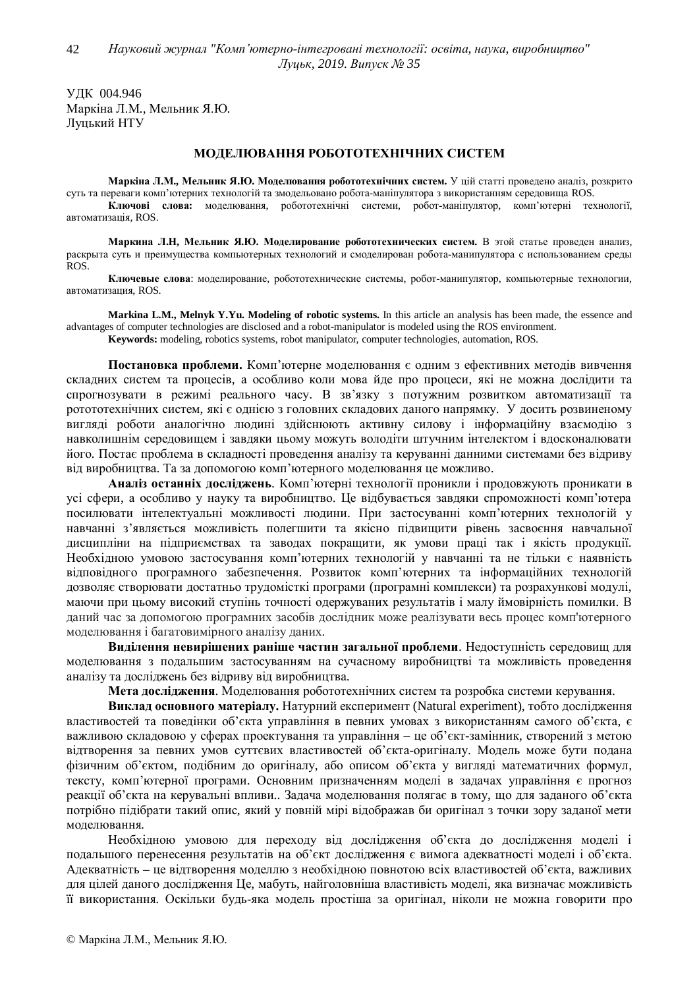ɍȾɄ 004.946 Маркіна Л.М., Мельник Я.Ю. Луцький НТУ

## МОДЕЛЮВАННЯ РОБОТОТЕХНІЧНИХ СИСТЕМ

Маркіна Л.М., Мельник Я.Ю. Моделювання робототехнічних систем. У цій статті проведено аналіз, розкрито суть та переваги комп'ютерних технологій та змодельовано робота-маніпулятора з використанням середовища ROS. Ключові слова: моделювання, робототехнічні системи, робот-маніпулятор, комп'ютерні технології, автоматизація, ROS.

Маркина Л.Н, Мельник Я.Ю. Моделирование робототехнических систем. В этой статье проведен анализ, раскрыта суть и преимущества компьютерных технологий и смоделирован робота-манипулятора с использованием среды ROS.

Ключевые слова: моделирование, робототехнические системы, робот-манипулятор, компьютерные технологии, автоматизация, ROS.

**Markina L.M., Melnyk Y.Yu. Modeling of robotic systems.** In this article an analysis has been made, the essence and advantages of computer technologies are disclosed and a robot-manipulator is modeled using the ROS environment. **Keywords:** modeling, robotics systems, robot manipulator, computer technologies, automation, ROS.

Постановка проблеми. Комп'ютерне моделювання є одним з ефективних методів вивчення склалних систем та процесів, а особливо коли мова йле про процеси, які не можна лослілити та спрогнозувати в режимі реального часу. В зв'язку з потужним розвитком автоматизації та ротототехнічних систем, які є однією з головних складових даного напрямку. У досить розвиненому вигляді роботи аналогічно людині здійснюють активну силову і інформаційну взаємодію з навколишнім середовищем і завдяки цьому можуть володіти штучним інтелектом і вдосконалювати його. Постає проблема в складності проведення аналізу та керуванні данними системами без відриву від виробництва. Та за допомогою комп'ютерного моделювання це можливо.

Аналіз останніх досліджень. Комп'ютерні технології проникли і продовжують проникати в усі сфери, а особливо у науку та виробництво. Це відбувається завдяки спроможності комп'ютера посилювати інтелектуальні можливості людини. При застосуванні комп'ютерних технологій у навчанні з'являється можливість полегшити та якісно підвищити рівень засвоєння навчальної дисципліни на підприємствах та заводах покращити, як умови праці так і якість продукції. Необхідною умовою застосування комп'ютерних технологій у навчанні та не тільки є наявність відповідного програмного забезпечення. Розвиток комп'ютерних та інформаційних технологій дозволяє створювати достатньо трудомісткі програми (програмні комплекси) та розрахункові модулі, маючи при цьому високий ступінь точності одержуваних результатів і малу ймовірність помилки. В даний час за допомогою програмних засобів дослідник може реалізувати весь процес комп'ютерного моделювання і багатовимірного аналізу даних.

Виділення невирішених раніше частин загальної проблеми. Недоступність середовищ для моделювання з подальшим застосуванням на сучасному виробництві та можливість проведення аналізу та досліджень без відриву від виробництва.

**Мета лослілження**. Молелювання робототехнічних систем та розробка системи керування.

**Виклад основного матеріалу.** Натурний експеримент (Natural experiment), тобто дослідження властивостей та повелінки об'єкта управління в певних умовах з використанням самого об'єкта, є важливою складовою у сферах проектування та управління – це об'єкт-замінник, створений з метою відтворення за певних умов суттєвих властивостей об'єкта-оригіналу. Модель може бути подана фізичним об'єктом, подібним до оригіналу, або описом об'єкта у вигляді математичних формул, тексту, комп'ютерної програми. Основним призначенням моделі в задачах управління є прогноз реакції об'єкта на керувальні впливи.. Задача моделювання полягає в тому, що для заданого об'єкта потрібно підібрати такий опис, який у повній мірі відображав би оригінал з точки зору заданої мети моделювання.

Необхідною умовою для переходу від дослідження об'єкта до дослідження моделі і подальшого перенесення результатів на об'єкт дослідження є вимога адекватності моделі і об'єкта. Адекватність – це відтворення моделлю з необхідною повнотою всіх властивостей об'єкта, важливих для цілей даного дослідження Це, мабуть, найголовніша властивість моделі, яка визначає можливість її використання. Оскільки будь-яка модель простіша за оригінал, ніколи не можна говорити про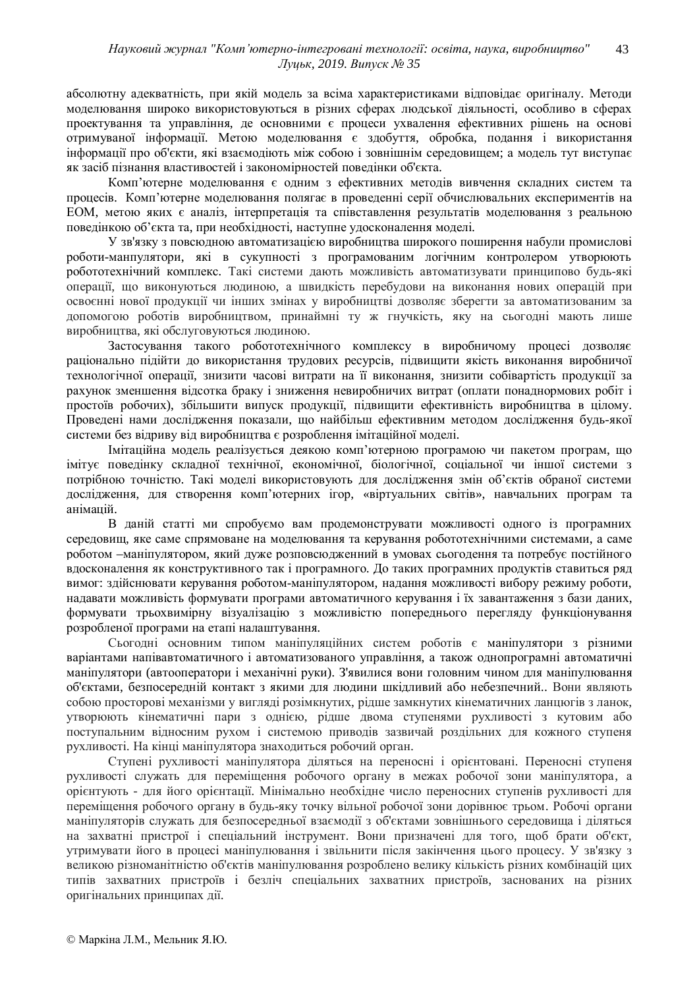абсолютну адекватність, при якій модель за всіма характеристиками відповідає оригіналу. Методи моделювання широко використовуються в різних сферах людської діяльності, особливо в сферах проектування та управління, де основними є процеси ухвалення ефективних рішень на основі отримуваної інформації. Метою моделювання є здобуття, обробка, подання і використання інформації про об'єкти, які взаємодіють між собою і зовнішнім середовищем; а модель тут виступає як засіб пізнання властивостей і закономірностей поведінки об'єкта.

Комп'ютерне моделювання є одним з ефективних методів вивчення складних систем та процесів. Комп'ютерне моделювання полягає в проведенні серії обчислювальних експериментів на ЕОМ, метою яких є аналіз, інтерпретація та співставлення результатів моделювання з реальною поведінкою об'єкта та, при необхідності, наступне удосконалення моделі.

У зв'язку з повсюдною автоматизацією виробництва широкого поширення набули промислові роботи-манпулятори, які в сукупності з програмованим логічним контролером утворюють робототехнічний комплекс. Такі системи дають можливість автоматизувати принципово будь-які операції, що виконуються людиною, а швидкість перебудови на виконання нових операцій при освоєнні нової продукції чи інших змінах у виробництві дозволяє зберегти за автоматизованим за допомогою роботів виробництвом, принаймні ту ж гнучкість, яку на сьогодні мають лише виробництва, які обслуговуються людиною.

Застосування такого робототехнічного комплексу в виробничому процесі дозволяє раціонально підійти до використання трудових ресурсів, підвищити якість виконання виробничої технологічної операції, знизити часові витрати на її виконання, знизити собівартість продукції за рахунок зменшення відсотка браку і зниження невиробничих витрат (оплати понаднормових робіт і простоїв робочих), збільшити випуск пролукції, пілвишити ефективність виробништва в цілому. Проведені нами дослідження показали, що найбільш ефективним методом дослідження будь-якої системи без відриву від виробництва є розроблення імітаційної моделі.

Імітаційна модель реалізується деякою комп'ютерною програмою чи пакетом програм, що імітує поведінку складної технічної, економічної, біологічної, соціальної чи іншої системи з потрібною точністю. Такі моделі використовують для дослідження змін об'єктів обраної системи дослідження, для створення комп'ютерних ігор, «віртуальних світів», навчальних програм та анімацій.

В даній статті ми спробуємо вам продемонструвати можливості одного із програмних середовищ, яке саме спрямоване на моделювання та керування робототехнічними системами, а саме роботом –маніпулятором, який дуже розповсюдженний в умовах сьогодення та потребує постійного вдосконалення як конструктивного так і програмного. До таких програмних продуктів ставиться ряд вимог: здійснювати керування роботом-маніпулятором, надання можливості вибору режиму роботи, надавати можливість формувати програми автоматичного керування і їх завантаження з бази даних, формувати трьохвимірну візуалізацію з можливістю попереднього перегляду функціонування розробленої програми на етапі налаштування.

Сьогодні основним типом маніпуляційних систем роботів є маніпулятори з різними варіантами напівавтоматичного і автоматизованого управління, а також однопрограмні автоматичні маніпулятори (автооператори і механічні руки). З'явилися вони головним чином для маніпулювання об'єктами, безпосередній контакт з якими для людини шкідливий або небезпечний.. Вони являють собою просторові механізми у вигляді розімкнутих, рідше замкнутих кінематичних ланцюгів з ланок, утворюють кінематичні пари з однією, рідше двома ступенями рухливості з кутовим або поступальним відносним рухом і системою приводів зазвичай роздільних для кожного ступеня рухливості. На кінці маніпулятора знаходиться робочий орган.

Ступені рухливості маніпулятора діляться на переносні і орієнтовані. Переносні ступеня рухливості служать для переміщення робочого органу в межах робочої зони маніпулятора, а орієнтують - для його орієнтації. Мінімально необхідне число переносних ступенів рухливості для переміщення робочого органу в будь-яку точку вільної робочої зони дорівнює трьом. Робочі органи маніпуляторів служать для безпосередньої взаємодії з об'єктами зовнішнього середовища і діляться на захватні пристрої і спеціальний інструмент. Вони призначені для того, щоб брати об'єкт, утримувати його в процесі маніпулювання і звільнити після закінчення цього процесу. У зв'язку з великою різноманітністю об'єктів маніпулювання розроблено велику кількість різних комбінацій цих типів захватних пристроїв і безліч спеціальних захватних пристроїв, заснованих на різних оригінальних принципах дії.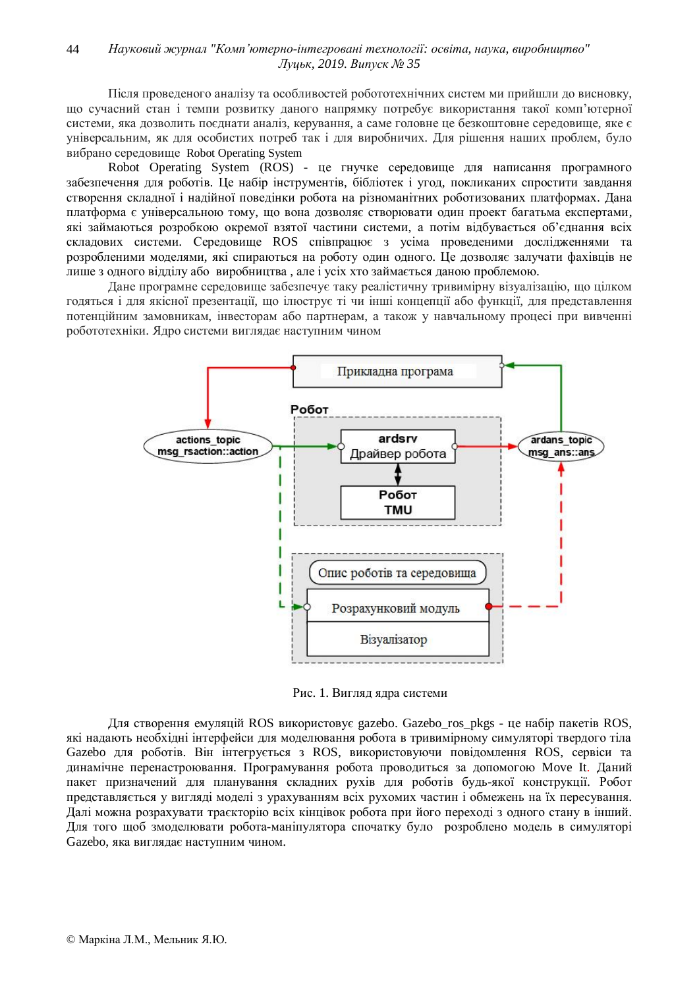Після проведеного аналізу та особливостей робототехнічних систем ми прийшли до висновку, що сучасний стан і темпи розвитку даного напрямку потребує використання такої комп'ютерної системи, яка дозволить поєднати аналіз, керування, а саме головне це безкоштовне середовище, яке є үніверсальним, як для особистих потреб так і для виробничих. Для рішення наших проблем, було вибрано середовище Robot Operating System

Robot Operating System (ROS) - це гнучке середовище для написання програмного забезпечення для роботів. Це набір інструментів, бібліотек і угод, покликаних спростити завдання створення складної і надійної поведінки робота на різноманітних роботизованих платформах. Дана платформа є універсальною тому, що вона дозволяє створювати один проект багатьма експертами, які займаються розробкою окремої взятої частини системи, а потім відбувається об'єднання всіх складових системи. Середовище ROS співпрацює з усіма проведеними дослідженнями та розробленими моделями, які спираються на роботу один одного. Це дозволяє залучати фахівців не лише з одного відділу або виробництва, але і усіх хто займається даною проблемою.

Дане програмне сереловише забезпечує таку реалістичну тривимірну візуалізацію, що пілком годяться і для якісної презентації, що ілюструє ті чи інші концепції або функції, для представлення потенційним замовникам, інвесторам або партнерам, а також у навчальному процесі при вивченні робототехніки. Ядро системи виглядає наступним чином



Рис. 1. Вигляд ядра системи

Для створення емуляцій ROS використовує gazebo. Gazebo\_ros\_pkgs - це набір пакетів ROS, які надають необхідні інтерфейси для моделювання робота в тривимірному симуляторі твердого тіла Gazebo для роботів. Він інтегрується з ROS, використовуючи повідомлення ROS, сервіси та динамічне перенастроювання. Програмування робота проводиться за допомогою Move It. Даний пакет призначений для планування складних рухів для роботів будь-якої конструкції. Робот представляється у вигляді моделі з урахуванням всіх рухомих частин і обмежень на їх пересування. Далі можна розрахувати траєкторію всіх кінцівок робота при його переході з одного стану в інший. Для того щоб змоделювати робота-маніпулятора спочатку було розроблено модель в симуляторі Gazebo, яка виглядає наступним чином.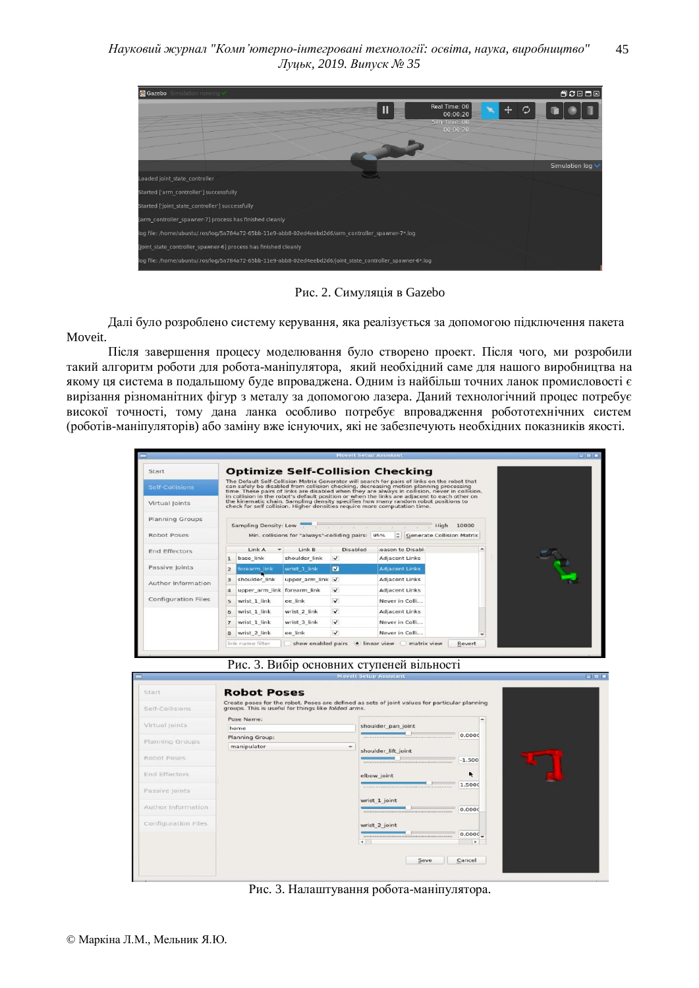

Рис. 2. Симуляція в Gazebo

Далі було розроблено систему керування, яка реалізується за допомогою підключення пакета Moveit.

Після завершення процесу моделювання було створено проект. Після чого, ми розробили такий алгоритм роботи для робота-маніпулятора, який необхідний саме для нашого виробництва на якому ця система в подальшому буде впроваджена. Одним із найбільш точних ланок промисловості є вирізання різноманітних фігур з металу за допомогою лазера. Даний технологічний процес потребує високої точності, тому дана ланка особливо потребує впровадження робототехнічних систем (роботів-маніпуляторів) або заміну вже існуючих, які не забезпечують необхідних показників якості.

| Start                                |                  |                             |                                                   |              | <b>Optimize Self-Collision Checking</b>                                                                                                                                                                                                                                                 |                             |  |
|--------------------------------------|------------------|-----------------------------|---------------------------------------------------|--------------|-----------------------------------------------------------------------------------------------------------------------------------------------------------------------------------------------------------------------------------------------------------------------------------------|-----------------------------|--|
| Self-Collisions                      |                  |                             |                                                   |              | The Default Self-Collision Matrix Generator will search for pairs of links on the robot that<br>can safely be disabled from collision checking, decreasing motion planning processing<br>time. These pairs of links are disabled when they are always in collision, never in collision, |                             |  |
| Virtual Ioints                       |                  |                             |                                                   |              | in collision in the robot's default position or when the links are adjacent to each other on<br>the kinematic chain. Sampling density specifies how many random robot positions to<br>check for self collision. Higher densities require more computation time.                         |                             |  |
| Planning Groups                      |                  |                             |                                                   |              | Sampling Density: Low                                                                                                                                                                                                                                                                   | High 10000                  |  |
| Robot Poses                          |                  |                             | Min. collisions for "always"-colliding pairs: 95% |              |                                                                                                                                                                                                                                                                                         | C Generate Collision Matrix |  |
| <b>End Effectors</b>                 |                  | LinkA                       | Link B                                            | Disabled     | <b>Jeason to Disable</b>                                                                                                                                                                                                                                                                | ۰                           |  |
|                                      |                  | base link                   | shoulder link                                     | $\checkmark$ | <b>Adjacent Links</b>                                                                                                                                                                                                                                                                   |                             |  |
|                                      |                  |                             |                                                   |              |                                                                                                                                                                                                                                                                                         |                             |  |
|                                      | $\overline{z}$   | forearm link                | wrist 1 link                                      | M            | <b>Adiacent Links</b>                                                                                                                                                                                                                                                                   |                             |  |
|                                      | 3                | shoulder link               | upper arm link                                    | $\checkmark$ | <b>Adiacent Links</b>                                                                                                                                                                                                                                                                   |                             |  |
| Passive Joints<br>Author Information | $\boldsymbol{A}$ | upper arm link forearm link |                                                   | $\checkmark$ | <b>Adiacent Links</b>                                                                                                                                                                                                                                                                   |                             |  |
| Configuration Files                  | $\overline{5}$   | wrist 1 link                | ee link                                           | $\checkmark$ | Never in Colli                                                                                                                                                                                                                                                                          |                             |  |
|                                      | 6                | wrist 1 link                | wrist 2 link                                      | $\checkmark$ | <b>Adjacent Links</b>                                                                                                                                                                                                                                                                   |                             |  |
|                                      | $\overline{7}$   | wrist 1 link                | wrist 3 link                                      | $\checkmark$ | Never in Colli                                                                                                                                                                                                                                                                          |                             |  |



|                      | Create poses for the robot. Poses are defined as sets of joint values for particular planning |                     |            |
|----------------------|-----------------------------------------------------------------------------------------------|---------------------|------------|
| Self-Collisions      | groups. This is useful for things like folded arms.                                           |                     |            |
| Virtual joints       | Pose Name:                                                                                    |                     | ۰          |
|                      | home                                                                                          | shoulder pan joint  |            |
| Planning Groups      | Planning Group:                                                                               |                     | 0.000C     |
|                      | manipulator<br>÷                                                                              | shoulder lift joint |            |
| Robot Poses          |                                                                                               |                     | $-1.500$   |
|                      |                                                                                               |                     |            |
| <b>End Effectors</b> |                                                                                               | elbow joint         | ŕ          |
| Passive Joints       |                                                                                               |                     | 1.5000     |
|                      |                                                                                               | wrist 1 joint       |            |
| Author Information   |                                                                                               |                     | 0.0000     |
| Configuration Files  |                                                                                               | wrist 2 joint       |            |
|                      |                                                                                               |                     | $0.0000 -$ |
|                      |                                                                                               | ٠                   | ×          |

Рис. 3. Налаштування робота-маніпулятора.